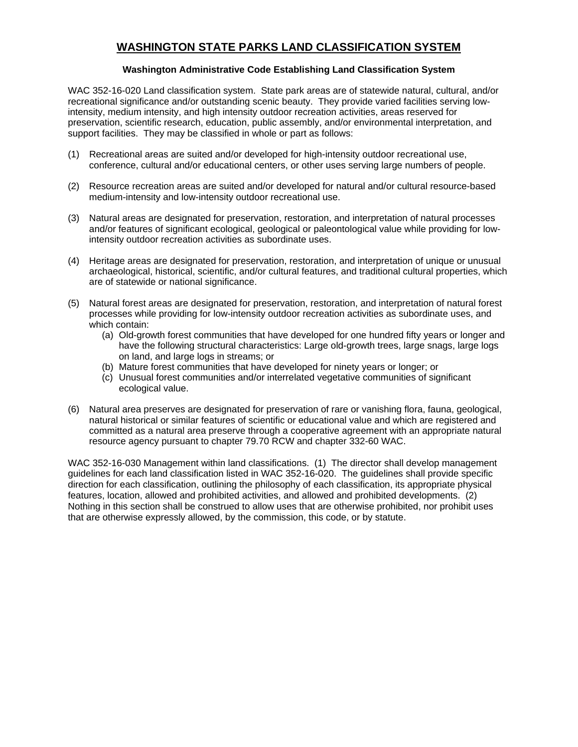# **WASHINGTON STATE PARKS LAND CLASSIFICATION SYSTEM**

### **Washington Administrative Code Establishing Land Classification System**

WAC 352-16-020 Land classification system. State park areas are of statewide natural, cultural, and/or recreational significance and/or outstanding scenic beauty. They provide varied facilities serving lowintensity, medium intensity, and high intensity outdoor recreation activities, areas reserved for preservation, scientific research, education, public assembly, and/or environmental interpretation, and support facilities. They may be classified in whole or part as follows:

- (1) Recreational areas are suited and/or developed for high-intensity outdoor recreational use, conference, cultural and/or educational centers, or other uses serving large numbers of people.
- (2) Resource recreation areas are suited and/or developed for natural and/or cultural resource-based medium-intensity and low-intensity outdoor recreational use.
- (3) Natural areas are designated for preservation, restoration, and interpretation of natural processes and/or features of significant ecological, geological or paleontological value while providing for lowintensity outdoor recreation activities as subordinate uses.
- (4) Heritage areas are designated for preservation, restoration, and interpretation of unique or unusual archaeological, historical, scientific, and/or cultural features, and traditional cultural properties, which are of statewide or national significance.
- (5) Natural forest areas are designated for preservation, restoration, and interpretation of natural forest processes while providing for low-intensity outdoor recreation activities as subordinate uses, and which contain:
	- (a) Old-growth forest communities that have developed for one hundred fifty years or longer and have the following structural characteristics: Large old-growth trees, large snags, large logs on land, and large logs in streams; or
	- (b) Mature forest communities that have developed for ninety years or longer; or
	- (c) Unusual forest communities and/or interrelated vegetative communities of significant ecological value.
- (6) Natural area preserves are designated for preservation of rare or vanishing flora, fauna, geological, natural historical or similar features of scientific or educational value and which are registered and committed as a natural area preserve through a cooperative agreement with an appropriate natural resource agency pursuant to chapter 79.70 RCW and chapter 332-60 WAC.

WAC 352-16-030 Management within land classifications. (1) The director shall develop management guidelines for each land classification listed in WAC 352-16-020. The guidelines shall provide specific direction for each classification, outlining the philosophy of each classification, its appropriate physical features, location, allowed and prohibited activities, and allowed and prohibited developments. (2) Nothing in this section shall be construed to allow uses that are otherwise prohibited, nor prohibit uses that are otherwise expressly allowed, by the commission, this code, or by statute.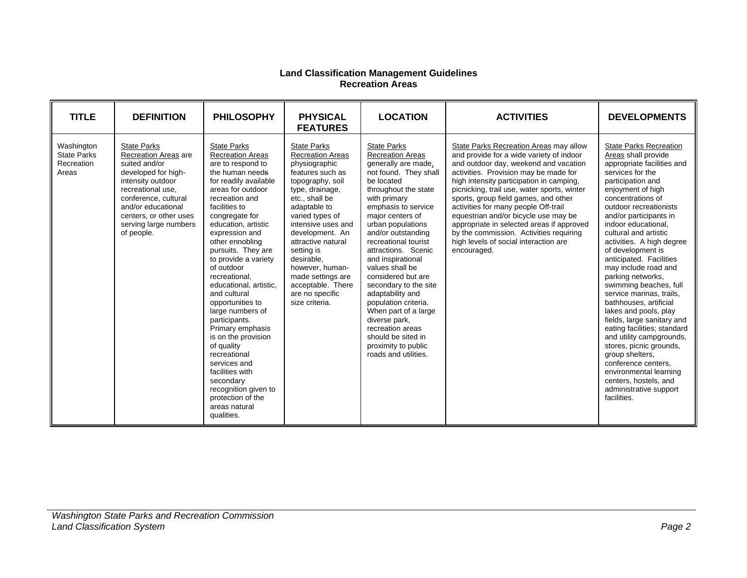#### **Land Classification Management Guidelines Recreation Areas**

| <b>TITLE</b>                                            | <b>DEFINITION</b>                                                                                                                                                                                                                           | <b>PHILOSOPHY</b>                                                                                                                                                                                                                                                                                                                                                                                                                                                                                                                                                                                                                         | <b>PHYSICAL</b><br><b>FEATURES</b>                                                                                                                                                                                                                                                                                                                                          | <b>LOCATION</b>                                                                                                                                                                                                                                                                                                                                                                                                                                                                                                                                               | <b>ACTIVITIES</b>                                                                                                                                                                                                                                                                                                                                                                                                                                                                                                                       | <b>DEVELOPMENTS</b>                                                                                                                                                                                                                                                                                                                                                                                                                                                                                                                                                                                                                                                                                                                                                    |
|---------------------------------------------------------|---------------------------------------------------------------------------------------------------------------------------------------------------------------------------------------------------------------------------------------------|-------------------------------------------------------------------------------------------------------------------------------------------------------------------------------------------------------------------------------------------------------------------------------------------------------------------------------------------------------------------------------------------------------------------------------------------------------------------------------------------------------------------------------------------------------------------------------------------------------------------------------------------|-----------------------------------------------------------------------------------------------------------------------------------------------------------------------------------------------------------------------------------------------------------------------------------------------------------------------------------------------------------------------------|---------------------------------------------------------------------------------------------------------------------------------------------------------------------------------------------------------------------------------------------------------------------------------------------------------------------------------------------------------------------------------------------------------------------------------------------------------------------------------------------------------------------------------------------------------------|-----------------------------------------------------------------------------------------------------------------------------------------------------------------------------------------------------------------------------------------------------------------------------------------------------------------------------------------------------------------------------------------------------------------------------------------------------------------------------------------------------------------------------------------|------------------------------------------------------------------------------------------------------------------------------------------------------------------------------------------------------------------------------------------------------------------------------------------------------------------------------------------------------------------------------------------------------------------------------------------------------------------------------------------------------------------------------------------------------------------------------------------------------------------------------------------------------------------------------------------------------------------------------------------------------------------------|
| Washington<br><b>State Parks</b><br>Recreation<br>Areas | <b>State Parks</b><br>Recreation Areas are<br>suited and/or<br>developed for high-<br>intensity outdoor<br>recreational use.<br>conference, cultural<br>and/or educational<br>centers, or other uses<br>serving large numbers<br>of people. | <b>State Parks</b><br><b>Recreation Areas</b><br>are to respond to<br>the human needs<br>for readily available<br>areas for outdoor<br>recreation and<br>facilities to<br>congregate for<br>education, artistic<br>expression and<br>other ennobling<br>pursuits. They are<br>to provide a variety<br>of outdoor<br>recreational.<br>educational, artistic,<br>and cultural<br>opportunities to<br>large numbers of<br>participants.<br>Primary emphasis<br>is on the provision<br>of quality<br>recreational<br>services and<br>facilities with<br>secondary<br>recognition given to<br>protection of the<br>areas natural<br>qualities. | <b>State Parks</b><br><b>Recreation Areas</b><br>physiographic<br>features such as<br>topography, soil<br>type, drainage,<br>etc., shall be<br>adaptable to<br>varied types of<br>intensive uses and<br>development. An<br>attractive natural<br>setting is<br>desirable.<br>however, human-<br>made settings are<br>acceptable. There<br>are no specific<br>size criteria. | <b>State Parks</b><br><b>Recreation Areas</b><br>generally are made,<br>not found. They shall<br>be located<br>throughout the state<br>with primary<br>emphasis to service<br>major centers of<br>urban populations<br>and/or outstanding<br>recreational tourist<br>attractions. Scenic<br>and inspirational<br>values shall be<br>considered but are<br>secondary to the site<br>adaptability and<br>population criteria.<br>When part of a large<br>diverse park,<br>recreation areas<br>should be sited in<br>proximity to public<br>roads and utilities. | State Parks Recreation Areas may allow<br>and provide for a wide variety of indoor<br>and outdoor day, weekend and vacation<br>activities. Provision may be made for<br>high intensity participation in camping,<br>picnicking, trail use, water sports, winter<br>sports, group field games, and other<br>activities for many people Off-trail<br>equestrian and/or bicycle use may be<br>appropriate in selected areas if approved<br>by the commission. Activities requiring<br>high levels of social interaction are<br>encouraged. | <b>State Parks Recreation</b><br>Areas shall provide<br>appropriate facilities and<br>services for the<br>participation and<br>enjoyment of high<br>concentrations of<br>outdoor recreationists<br>and/or participants in<br>indoor educational,<br>cultural and artistic<br>activities. A high degree<br>of development is<br>anticipated. Facilities<br>may include road and<br>parking networks,<br>swimming beaches, full<br>service marinas, trails,<br>bathhouses, artificial<br>lakes and pools, play<br>fields, large sanitary and<br>eating facilities; standard<br>and utility campgrounds,<br>stores, picnic grounds,<br>group shelters,<br>conference centers.<br>environmental learning<br>centers, hostels, and<br>administrative support<br>facilities. |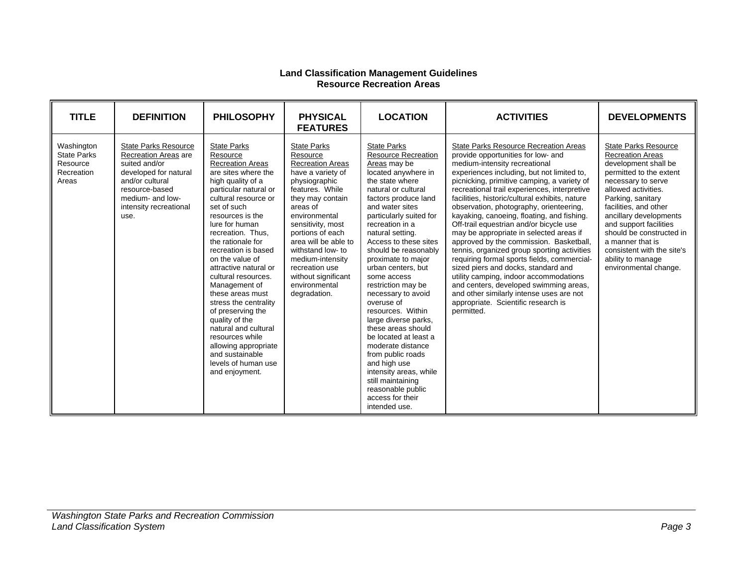#### **Land Classification Management Guidelines Resource Recreation Areas**

| <b>TITLE</b>                                                        | <b>DEFINITION</b>                                                                                                                                                                               | <b>PHILOSOPHY</b>                                                                                                                                                                                                                                                                                                                                                                                                                                                                                                                                                                   | <b>PHYSICAL</b><br><b>FEATURES</b>                                                                                                                                                                                                                                                                                                                      | <b>LOCATION</b>                                                                                                                                                                                                                                                                                                                                                                                                                                                                                                                                                                                                                                                                     | <b>ACTIVITIES</b>                                                                                                                                                                                                                                                                                                                                                                                                                                                                                                                                                                                                                                                                                                                                                                                                                                                      | <b>DEVELOPMENTS</b>                                                                                                                                                                                                                                                                                                                                                           |
|---------------------------------------------------------------------|-------------------------------------------------------------------------------------------------------------------------------------------------------------------------------------------------|-------------------------------------------------------------------------------------------------------------------------------------------------------------------------------------------------------------------------------------------------------------------------------------------------------------------------------------------------------------------------------------------------------------------------------------------------------------------------------------------------------------------------------------------------------------------------------------|---------------------------------------------------------------------------------------------------------------------------------------------------------------------------------------------------------------------------------------------------------------------------------------------------------------------------------------------------------|-------------------------------------------------------------------------------------------------------------------------------------------------------------------------------------------------------------------------------------------------------------------------------------------------------------------------------------------------------------------------------------------------------------------------------------------------------------------------------------------------------------------------------------------------------------------------------------------------------------------------------------------------------------------------------------|------------------------------------------------------------------------------------------------------------------------------------------------------------------------------------------------------------------------------------------------------------------------------------------------------------------------------------------------------------------------------------------------------------------------------------------------------------------------------------------------------------------------------------------------------------------------------------------------------------------------------------------------------------------------------------------------------------------------------------------------------------------------------------------------------------------------------------------------------------------------|-------------------------------------------------------------------------------------------------------------------------------------------------------------------------------------------------------------------------------------------------------------------------------------------------------------------------------------------------------------------------------|
| Washington<br><b>State Parks</b><br>Resource<br>Recreation<br>Areas | <b>State Parks Resource</b><br><b>Recreation Areas are</b><br>suited and/or<br>developed for natural<br>and/or cultural<br>resource-based<br>medium- and low-<br>intensity recreational<br>use. | <b>State Parks</b><br>Resource<br><b>Recreation Areas</b><br>are sites where the<br>high quality of a<br>particular natural or<br>cultural resource or<br>set of such<br>resources is the<br>lure for human<br>recreation. Thus,<br>the rationale for<br>recreation is based<br>on the value of<br>attractive natural or<br>cultural resources.<br>Management of<br>these areas must<br>stress the centrality<br>of preserving the<br>quality of the<br>natural and cultural<br>resources while<br>allowing appropriate<br>and sustainable<br>levels of human use<br>and enjoyment. | <b>State Parks</b><br>Resource<br><b>Recreation Areas</b><br>have a variety of<br>physiographic<br>features. While<br>they may contain<br>areas of<br>environmental<br>sensitivity, most<br>portions of each<br>area will be able to<br>withstand low- to<br>medium-intensity<br>recreation use<br>without significant<br>environmental<br>degradation. | <b>State Parks</b><br><b>Resource Recreation</b><br>Areas may be<br>located anywhere in<br>the state where<br>natural or cultural<br>factors produce land<br>and water sites<br>particularly suited for<br>recreation in a<br>natural setting.<br>Access to these sites<br>should be reasonably<br>proximate to major<br>urban centers, but<br>some access<br>restriction may be<br>necessary to avoid<br>overuse of<br>resources. Within<br>large diverse parks,<br>these areas should<br>be located at least a<br>moderate distance<br>from public roads<br>and high use<br>intensity areas, while<br>still maintaining<br>reasonable public<br>access for their<br>intended use. | <b>State Parks Resource Recreation Areas</b><br>provide opportunities for low- and<br>medium-intensity recreational<br>experiences including, but not limited to,<br>picnicking, primitive camping, a variety of<br>recreational trail experiences, interpretive<br>facilities, historic/cultural exhibits, nature<br>observation, photography, orienteering,<br>kayaking, canoeing, floating, and fishing.<br>Off-trail equestrian and/or bicycle use<br>may be appropriate in selected areas if<br>approved by the commission. Basketball,<br>tennis, organized group sporting activities<br>requiring formal sports fields, commercial-<br>sized piers and docks, standard and<br>utility camping, indoor accommodations<br>and centers, developed swimming areas,<br>and other similarly intense uses are not<br>appropriate. Scientific research is<br>permitted. | State Parks Resource<br><b>Recreation Areas</b><br>development shall be<br>permitted to the extent<br>necessary to serve<br>allowed activities.<br>Parking, sanitary<br>facilities, and other<br>ancillary developments<br>and support facilities<br>should be constructed in<br>a manner that is<br>consistent with the site's<br>ability to manage<br>environmental change. |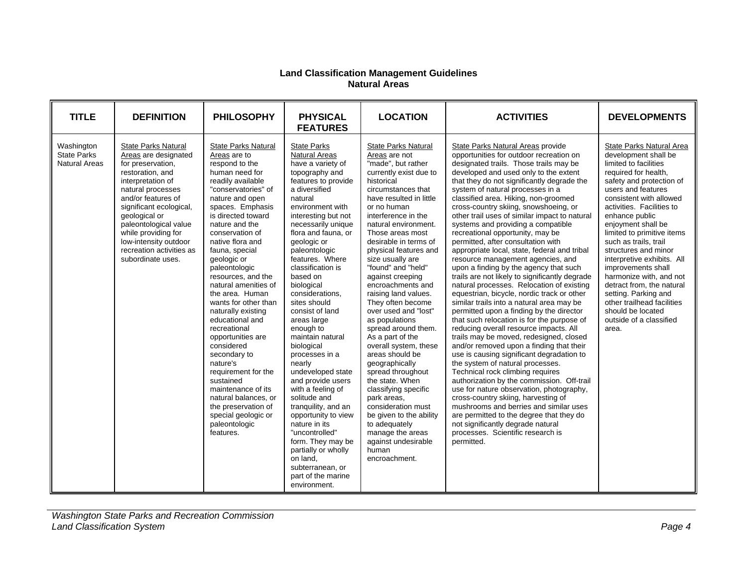#### **Land Classification Management Guidelines Natural Areas**

| <b>TITLE</b>                                      | <b>DEFINITION</b>                                                                                                                                                                                                                                                                                                          | <b>PHILOSOPHY</b>                                                                                                                                                                                                                                                                                                                                                                                                                                                                                                                                                                                                                                                          | <b>PHYSICAL</b><br><b>FEATURES</b>                                                                                                                                                                                                                                                                                                                                                                                                                                                                                                                                                                                                                                                                                                                               | <b>LOCATION</b>                                                                                                                                                                                                                                                                                                                                                                                                                                                                                                                                                                                                                                                                                                                                                                                         | <b>ACTIVITIES</b>                                                                                                                                                                                                                                                                                                                                                                                                                                                                                                                                                                                                                                                                                                                                                                                                                                                                                                                                                                                                                                                                                                                                                                                                                                                                                                                                                                                                                                                                           | <b>DEVELOPMENTS</b>                                                                                                                                                                                                                                                                                                                                                                                                                                                                                                                                                  |
|---------------------------------------------------|----------------------------------------------------------------------------------------------------------------------------------------------------------------------------------------------------------------------------------------------------------------------------------------------------------------------------|----------------------------------------------------------------------------------------------------------------------------------------------------------------------------------------------------------------------------------------------------------------------------------------------------------------------------------------------------------------------------------------------------------------------------------------------------------------------------------------------------------------------------------------------------------------------------------------------------------------------------------------------------------------------------|------------------------------------------------------------------------------------------------------------------------------------------------------------------------------------------------------------------------------------------------------------------------------------------------------------------------------------------------------------------------------------------------------------------------------------------------------------------------------------------------------------------------------------------------------------------------------------------------------------------------------------------------------------------------------------------------------------------------------------------------------------------|---------------------------------------------------------------------------------------------------------------------------------------------------------------------------------------------------------------------------------------------------------------------------------------------------------------------------------------------------------------------------------------------------------------------------------------------------------------------------------------------------------------------------------------------------------------------------------------------------------------------------------------------------------------------------------------------------------------------------------------------------------------------------------------------------------|---------------------------------------------------------------------------------------------------------------------------------------------------------------------------------------------------------------------------------------------------------------------------------------------------------------------------------------------------------------------------------------------------------------------------------------------------------------------------------------------------------------------------------------------------------------------------------------------------------------------------------------------------------------------------------------------------------------------------------------------------------------------------------------------------------------------------------------------------------------------------------------------------------------------------------------------------------------------------------------------------------------------------------------------------------------------------------------------------------------------------------------------------------------------------------------------------------------------------------------------------------------------------------------------------------------------------------------------------------------------------------------------------------------------------------------------------------------------------------------------|----------------------------------------------------------------------------------------------------------------------------------------------------------------------------------------------------------------------------------------------------------------------------------------------------------------------------------------------------------------------------------------------------------------------------------------------------------------------------------------------------------------------------------------------------------------------|
| Washington<br><b>State Parks</b><br>Natural Areas | State Parks Natural<br>Areas are designated<br>for preservation,<br>restoration, and<br>interpretation of<br>natural processes<br>and/or features of<br>significant ecological,<br>geological or<br>paleontological value<br>while providing for<br>low-intensity outdoor<br>recreation activities as<br>subordinate uses. | State Parks Natural<br>Areas are to<br>respond to the<br>human need for<br>readily available<br>"conservatories" of<br>nature and open<br>spaces. Emphasis<br>is directed toward<br>nature and the<br>conservation of<br>native flora and<br>fauna, special<br>geologic or<br>paleontologic<br>resources, and the<br>natural amenities of<br>the area. Human<br>wants for other than<br>naturally existing<br>educational and<br>recreational<br>opportunities are<br>considered<br>secondary to<br>nature's<br>requirement for the<br>sustained<br>maintenance of its<br>natural balances, or<br>the preservation of<br>special geologic or<br>paleontologic<br>features. | <b>State Parks</b><br><b>Natural Areas</b><br>have a variety of<br>topography and<br>features to provide<br>a diversified<br>natural<br>environment with<br>interesting but not<br>necessarily unique<br>flora and fauna, or<br>geologic or<br>paleontologic<br>features. Where<br>classification is<br>based on<br>biological<br>considerations,<br>sites should<br>consist of land<br>areas large<br>enough to<br>maintain natural<br>biological<br>processes in a<br>nearly<br>undeveloped state<br>and provide users<br>with a feeling of<br>solitude and<br>tranguility, and an<br>opportunity to view<br>nature in its<br>"uncontrolled"<br>form. They may be<br>partially or wholly<br>on land.<br>subterranean, or<br>part of the marine<br>environment. | <b>State Parks Natural</b><br>Areas are not<br>"made", but rather<br>currently exist due to<br>historical<br>circumstances that<br>have resulted in little<br>or no human<br>interference in the<br>natural environment.<br>Those areas most<br>desirable in terms of<br>physical features and<br>size usually are<br>"found" and "held"<br>against creeping<br>encroachments and<br>raising land values.<br>They often become<br>over used and "lost"<br>as populations<br>spread around them.<br>As a part of the<br>overall system, these<br>areas should be<br>geographically<br>spread throughout<br>the state. When<br>classifying specific<br>park areas.<br>consideration must<br>be given to the ability<br>to adequately<br>manage the areas<br>against undesirable<br>human<br>encroachment. | State Parks Natural Areas provide<br>opportunities for outdoor recreation on<br>designated trails. Those trails may be<br>developed and used only to the extent<br>that they do not significantly degrade the<br>system of natural processes in a<br>classified area. Hiking, non-groomed<br>cross-country skiing, snowshoeing, or<br>other trail uses of similar impact to natural<br>systems and providing a compatible<br>recreational opportunity, may be<br>permitted, after consultation with<br>appropriate local, state, federal and tribal<br>resource management agencies, and<br>upon a finding by the agency that such<br>trails are not likely to significantly degrade<br>natural processes. Relocation of existing<br>equestrian, bicycle, nordic track or other<br>similar trails into a natural area may be<br>permitted upon a finding by the director<br>that such relocation is for the purpose of<br>reducing overall resource impacts. All<br>trails may be moved, redesigned, closed<br>and/or removed upon a finding that their<br>use is causing significant degradation to<br>the system of natural processes.<br>Technical rock climbing requires<br>authorization by the commission. Off-trail<br>use for nature observation, photography,<br>cross-country skiing, harvesting of<br>mushrooms and berries and similar uses<br>are permitted to the degree that they do<br>not significantly degrade natural<br>processes. Scientific research is<br>permitted. | <b>State Parks Natural Area</b><br>development shall be<br>limited to facilities<br>required for health,<br>safety and protection of<br>users and features<br>consistent with allowed<br>activities. Facilities to<br>enhance public<br>enjoyment shall be<br>limited to primitive items<br>such as trails, trail<br>structures and minor<br>interpretive exhibits. All<br>improvements shall<br>harmonize with, and not<br>detract from, the natural<br>setting. Parking and<br>other trailhead facilities<br>should be located<br>outside of a classified<br>area. |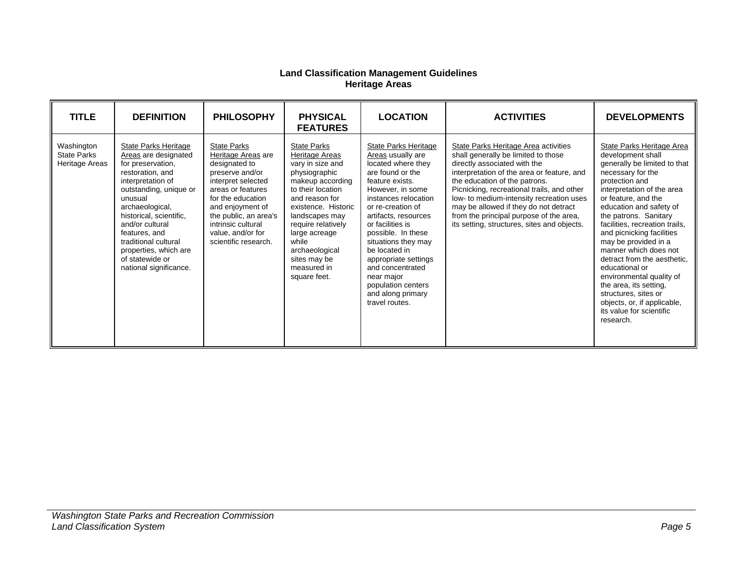#### **Land Classification Management Guidelines Heritage Areas**

| <b>TITLE</b>                                       | <b>DEFINITION</b>                                                                                                                                                                                                                                                                                                               | <b>PHILOSOPHY</b>                                                                                                                                                                                                                                            | <b>PHYSICAL</b><br><b>FEATURES</b>                                                                                                                                                                                                                                                             | <b>LOCATION</b>                                                                                                                                                                                                                                                                                                                                                                                          | <b>ACTIVITIES</b>                                                                                                                                                                                                                                                                                                                                                                                                       | <b>DEVELOPMENTS</b>                                                                                                                                                                                                                                                                                                                                                                                                                                                                                                                                   |
|----------------------------------------------------|---------------------------------------------------------------------------------------------------------------------------------------------------------------------------------------------------------------------------------------------------------------------------------------------------------------------------------|--------------------------------------------------------------------------------------------------------------------------------------------------------------------------------------------------------------------------------------------------------------|------------------------------------------------------------------------------------------------------------------------------------------------------------------------------------------------------------------------------------------------------------------------------------------------|----------------------------------------------------------------------------------------------------------------------------------------------------------------------------------------------------------------------------------------------------------------------------------------------------------------------------------------------------------------------------------------------------------|-------------------------------------------------------------------------------------------------------------------------------------------------------------------------------------------------------------------------------------------------------------------------------------------------------------------------------------------------------------------------------------------------------------------------|-------------------------------------------------------------------------------------------------------------------------------------------------------------------------------------------------------------------------------------------------------------------------------------------------------------------------------------------------------------------------------------------------------------------------------------------------------------------------------------------------------------------------------------------------------|
| Washington<br><b>State Parks</b><br>Heritage Areas | State Parks Heritage<br>Areas are designated<br>for preservation,<br>restoration, and<br>interpretation of<br>outstanding, unique or<br>unusual<br>archaeological,<br>historical, scientific,<br>and/or cultural<br>features, and<br>traditional cultural<br>properties, which are<br>of statewide or<br>national significance. | <b>State Parks</b><br>Heritage Areas are<br>designated to<br>preserve and/or<br>interpret selected<br>areas or features<br>for the education<br>and enjoyment of<br>the public, an area's<br>intrinsic cultural<br>value, and/or for<br>scientific research. | <b>State Parks</b><br>Heritage Areas<br>vary in size and<br>physiographic<br>makeup according<br>to their location<br>and reason for<br>existence. Historic<br>landscapes may<br>require relatively<br>large acreage<br>while<br>archaeological<br>sites may be<br>measured in<br>square feet. | State Parks Heritage<br>Areas usually are<br>located where they<br>are found or the<br>feature exists.<br>However, in some<br>instances relocation<br>or re-creation of<br>artifacts, resources<br>or facilities is<br>possible. In these<br>situations they may<br>be located in<br>appropriate settings<br>and concentrated<br>near major<br>population centers<br>and along primary<br>travel routes. | State Parks Heritage Area activities<br>shall generally be limited to those<br>directly associated with the<br>interpretation of the area or feature, and<br>the education of the patrons.<br>Picnicking, recreational trails, and other<br>low- to medium-intensity recreation uses<br>may be allowed if they do not detract<br>from the principal purpose of the area,<br>its setting, structures, sites and objects. | State Parks Heritage Area<br>development shall<br>generally be limited to that<br>necessary for the<br>protection and<br>interpretation of the area<br>or feature, and the<br>education and safety of<br>the patrons. Sanitary<br>facilities, recreation trails,<br>and picnicking facilities<br>may be provided in a<br>manner which does not<br>detract from the aesthetic,<br>educational or<br>environmental quality of<br>the area, its setting,<br>structures, sites or<br>objects, or, if applicable,<br>its value for scientific<br>research. |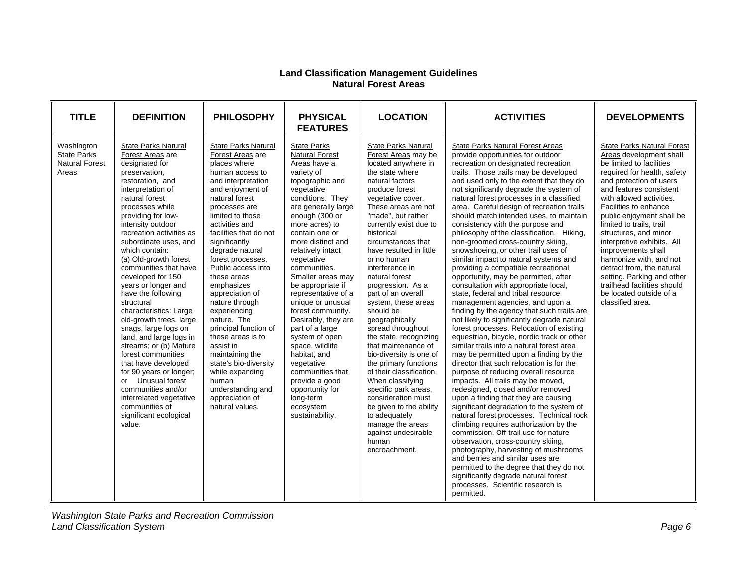#### **Land Classification Management Guidelines Natural Forest Areas**

| <b>TITLE</b>                                                       | <b>DEFINITION</b>                                                                                                                                                                                                                                                                                                                                                                                                                                                                                                                                                                                                                                                                                                                                         | <b>PHILOSOPHY</b>                                                                                                                                                                                                                                                                                                                                                                                                                                                                                                                                                                                            | <b>PHYSICAL</b><br><b>FEATURES</b>                                                                                                                                                                                                                                                                                                                                                                                                                                                                                                                                                                                | <b>LOCATION</b>                                                                                                                                                                                                                                                                                                                                                                                                                                                                                                                                                                                                                                                                                                                                                                           | <b>ACTIVITIES</b>                                                                                                                                                                                                                                                                                                                                                                                                                                                                                                                                                                                                                                                                                                                                                                                                                                                                                                                                                                                                                                                                                                                                                                                                                                                                                                                                                                                                                                                                                                                                                                                                                                                                                                    | <b>DEVELOPMENTS</b>                                                                                                                                                                                                                                                                                                                                                                                                                                                                                                                          |
|--------------------------------------------------------------------|-----------------------------------------------------------------------------------------------------------------------------------------------------------------------------------------------------------------------------------------------------------------------------------------------------------------------------------------------------------------------------------------------------------------------------------------------------------------------------------------------------------------------------------------------------------------------------------------------------------------------------------------------------------------------------------------------------------------------------------------------------------|--------------------------------------------------------------------------------------------------------------------------------------------------------------------------------------------------------------------------------------------------------------------------------------------------------------------------------------------------------------------------------------------------------------------------------------------------------------------------------------------------------------------------------------------------------------------------------------------------------------|-------------------------------------------------------------------------------------------------------------------------------------------------------------------------------------------------------------------------------------------------------------------------------------------------------------------------------------------------------------------------------------------------------------------------------------------------------------------------------------------------------------------------------------------------------------------------------------------------------------------|-------------------------------------------------------------------------------------------------------------------------------------------------------------------------------------------------------------------------------------------------------------------------------------------------------------------------------------------------------------------------------------------------------------------------------------------------------------------------------------------------------------------------------------------------------------------------------------------------------------------------------------------------------------------------------------------------------------------------------------------------------------------------------------------|----------------------------------------------------------------------------------------------------------------------------------------------------------------------------------------------------------------------------------------------------------------------------------------------------------------------------------------------------------------------------------------------------------------------------------------------------------------------------------------------------------------------------------------------------------------------------------------------------------------------------------------------------------------------------------------------------------------------------------------------------------------------------------------------------------------------------------------------------------------------------------------------------------------------------------------------------------------------------------------------------------------------------------------------------------------------------------------------------------------------------------------------------------------------------------------------------------------------------------------------------------------------------------------------------------------------------------------------------------------------------------------------------------------------------------------------------------------------------------------------------------------------------------------------------------------------------------------------------------------------------------------------------------------------------------------------------------------------|----------------------------------------------------------------------------------------------------------------------------------------------------------------------------------------------------------------------------------------------------------------------------------------------------------------------------------------------------------------------------------------------------------------------------------------------------------------------------------------------------------------------------------------------|
| Washington<br><b>State Parks</b><br><b>Natural Forest</b><br>Areas | <b>State Parks Natural</b><br>Forest Areas are<br>designated for<br>preservation,<br>restoration, and<br>interpretation of<br>natural forest<br>processes while<br>providing for low-<br>intensity outdoor<br>recreation activities as<br>subordinate uses, and<br>which contain:<br>(a) Old-growth forest<br>communities that have<br>developed for 150<br>years or longer and<br>have the following<br>structural<br>characteristics: Large<br>old-growth trees, large<br>snags, large logs on<br>land, and large logs in<br>streams; or (b) Mature<br>forest communities<br>that have developed<br>for 90 years or longer;<br>or Unusual forest<br>communities and/or<br>interrelated vegetative<br>communities of<br>significant ecological<br>value. | <b>State Parks Natural</b><br>Forest Areas are<br>places where<br>human access to<br>and interpretation<br>and enjoyment of<br>natural forest<br>processes are<br>limited to those<br>activities and<br>facilities that do not<br>significantly<br>degrade natural<br>forest processes.<br>Public access into<br>these areas<br>emphasizes<br>appreciation of<br>nature through<br>experiencing<br>nature. The<br>principal function of<br>these areas is to<br>assist in<br>maintaining the<br>state's bio-diversity<br>while expanding<br>human<br>understanding and<br>appreciation of<br>natural values. | <b>State Parks</b><br><b>Natural Forest</b><br>Areas have a<br>variety of<br>topographic and<br>vegetative<br>conditions. They<br>are generally large<br>enough (300 or<br>more acres) to<br>contain one or<br>more distinct and<br>relatively intact<br>vegetative<br>communities.<br>Smaller areas may<br>be appropriate if<br>representative of a<br>unique or unusual<br>forest community.<br>Desirably, they are<br>part of a large<br>system of open<br>space, wildlife<br>habitat, and<br>vegetative<br>communities that<br>provide a good<br>opportunity for<br>long-term<br>ecosystem<br>sustainability. | <b>State Parks Natural</b><br>Forest Areas may be<br>located anywhere in<br>the state where<br>natural factors<br>produce forest<br>vegetative cover.<br>These areas are not<br>"made", but rather<br>currently exist due to<br>historical<br>circumstances that<br>have resulted in little<br>or no human<br>interference in<br>natural forest<br>progression. As a<br>part of an overall<br>system, these areas<br>should be<br>geographically<br>spread throughout<br>the state, recognizing<br>that maintenance of<br>bio-diversity is one of<br>the primary functions<br>of their classification.<br>When classifying<br>specific park areas,<br>consideration must<br>be given to the ability<br>to adequately<br>manage the areas<br>against undesirable<br>human<br>encroachment. | <b>State Parks Natural Forest Areas</b><br>provide opportunities for outdoor<br>recreation on designated recreation<br>trails. Those trails may be developed<br>and used only to the extent that they do<br>not significantly degrade the system of<br>natural forest processes in a classified<br>area. Careful design of recreation trails<br>should match intended uses, to maintain<br>consistency with the purpose and<br>philosophy of the classification. Hiking,<br>non-groomed cross-country skiing,<br>snowshoeing, or other trail uses of<br>similar impact to natural systems and<br>providing a compatible recreational<br>opportunity, may be permitted, after<br>consultation with appropriate local,<br>state, federal and tribal resource<br>management agencies, and upon a<br>finding by the agency that such trails are<br>not likely to significantly degrade natural<br>forest processes. Relocation of existing<br>equestrian, bicycle, nordic track or other<br>similar trails into a natural forest area<br>may be permitted upon a finding by the<br>director that such relocation is for the<br>purpose of reducing overall resource<br>impacts. All trails may be moved,<br>redesigned, closed and/or removed<br>upon a finding that they are causing<br>significant degradation to the system of<br>natural forest processes. Technical rock<br>climbing requires authorization by the<br>commission. Off-trail use for nature<br>observation, cross-country skiing,<br>photography, harvesting of mushrooms<br>and berries and similar uses are<br>permitted to the degree that they do not<br>significantly degrade natural forest<br>processes. Scientific research is<br>permitted. | <b>State Parks Natural Forest</b><br>Areas development shall<br>be limited to facilities<br>required for health, safety<br>and protection of users<br>and features consistent<br>with allowed activities.<br>Facilities to enhance<br>public enjoyment shall be<br>limited to trails, trail<br>structures, and minor<br>interpretive exhibits. All<br>improvements shall<br>harmonize with, and not<br>detract from, the natural<br>setting. Parking and other<br>trailhead facilities should<br>be located outside of a<br>classified area. |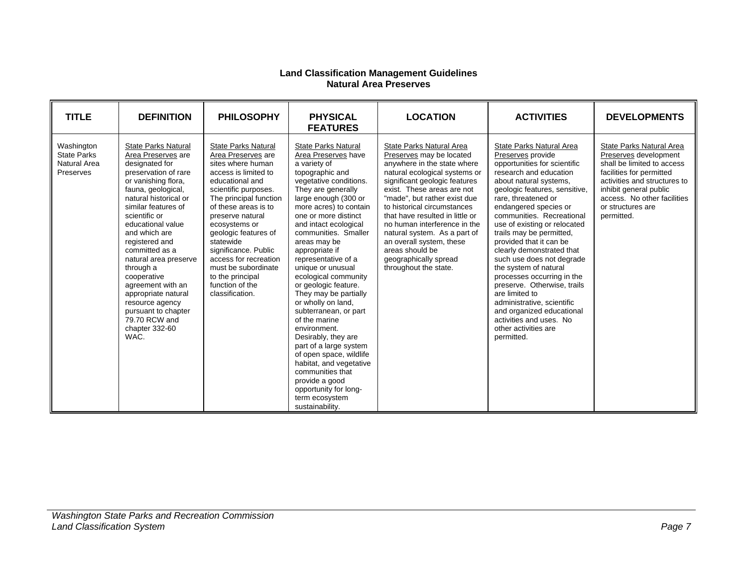#### **Land Classification Management Guidelines Natural Area Preserves**

| <b>TITLE</b>                                                  | <b>DEFINITION</b>                                                                                                                                                                                                                                                                                                                                                                                                                                                        | <b>PHILOSOPHY</b>                                                                                                                                                                                                                                                                                                                                                                                      | <b>PHYSICAL</b><br><b>FEATURES</b>                                                                                                                                                                                                                                                                                                                                                                                                                                                                                                                                                                                                                                                                                | <b>LOCATION</b>                                                                                                                                                                                                                                                                                                                                                                                                                                        | <b>ACTIVITIES</b>                                                                                                                                                                                                                                                                                                                                                                                                                                                                                                                                                                                                                    | <b>DEVELOPMENTS</b>                                                                                                                                                                                                                     |
|---------------------------------------------------------------|--------------------------------------------------------------------------------------------------------------------------------------------------------------------------------------------------------------------------------------------------------------------------------------------------------------------------------------------------------------------------------------------------------------------------------------------------------------------------|--------------------------------------------------------------------------------------------------------------------------------------------------------------------------------------------------------------------------------------------------------------------------------------------------------------------------------------------------------------------------------------------------------|-------------------------------------------------------------------------------------------------------------------------------------------------------------------------------------------------------------------------------------------------------------------------------------------------------------------------------------------------------------------------------------------------------------------------------------------------------------------------------------------------------------------------------------------------------------------------------------------------------------------------------------------------------------------------------------------------------------------|--------------------------------------------------------------------------------------------------------------------------------------------------------------------------------------------------------------------------------------------------------------------------------------------------------------------------------------------------------------------------------------------------------------------------------------------------------|--------------------------------------------------------------------------------------------------------------------------------------------------------------------------------------------------------------------------------------------------------------------------------------------------------------------------------------------------------------------------------------------------------------------------------------------------------------------------------------------------------------------------------------------------------------------------------------------------------------------------------------|-----------------------------------------------------------------------------------------------------------------------------------------------------------------------------------------------------------------------------------------|
| Washington<br><b>State Parks</b><br>Natural Area<br>Preserves | <b>State Parks Natural</b><br>Area Preserves are<br>designated for<br>preservation of rare<br>or vanishing flora,<br>fauna, geological,<br>natural historical or<br>similar features of<br>scientific or<br>educational value<br>and which are<br>registered and<br>committed as a<br>natural area preserve<br>through a<br>cooperative<br>agreement with an<br>appropriate natural<br>resource agency<br>pursuant to chapter<br>79.70 RCW and<br>chapter 332-60<br>WAC. | <b>State Parks Natural</b><br>Area Preserves are<br>sites where human<br>access is limited to<br>educational and<br>scientific purposes.<br>The principal function<br>of these areas is to<br>preserve natural<br>ecosystems or<br>geologic features of<br>statewide<br>significance. Public<br>access for recreation<br>must be subordinate<br>to the principal<br>function of the<br>classification. | <b>State Parks Natural</b><br>Area Preserves have<br>a variety of<br>topographic and<br>vegetative conditions.<br>They are generally<br>large enough (300 or<br>more acres) to contain<br>one or more distinct<br>and intact ecological<br>communities. Smaller<br>areas may be<br>appropriate if<br>representative of a<br>unique or unusual<br>ecological community<br>or geologic feature.<br>They may be partially<br>or wholly on land,<br>subterranean, or part<br>of the marine<br>environment.<br>Desirably, they are<br>part of a large system<br>of open space, wildlife<br>habitat, and vegetative<br>communities that<br>provide a good<br>opportunity for long-<br>term ecosystem<br>sustainability. | State Parks Natural Area<br>Preserves may be located<br>anywhere in the state where<br>natural ecological systems or<br>significant geologic features<br>exist. These areas are not<br>"made", but rather exist due<br>to historical circumstances<br>that have resulted in little or<br>no human interference in the<br>natural system. As a part of<br>an overall system, these<br>areas should be<br>geographically spread<br>throughout the state. | State Parks Natural Area<br>Preserves provide<br>opportunities for scientific<br>research and education<br>about natural systems,<br>geologic features, sensitive,<br>rare, threatened or<br>endangered species or<br>communities. Recreational<br>use of existing or relocated<br>trails may be permitted,<br>provided that it can be<br>clearly demonstrated that<br>such use does not degrade<br>the system of natural<br>processes occurring in the<br>preserve. Otherwise, trails<br>are limited to<br>administrative, scientific<br>and organized educational<br>activities and uses. No<br>other activities are<br>permitted. | State Parks Natural Area<br>Preserves development<br>shall be limited to access<br>facilities for permitted<br>activities and structures to<br>inhibit general public<br>access. No other facilities<br>or structures are<br>permitted. |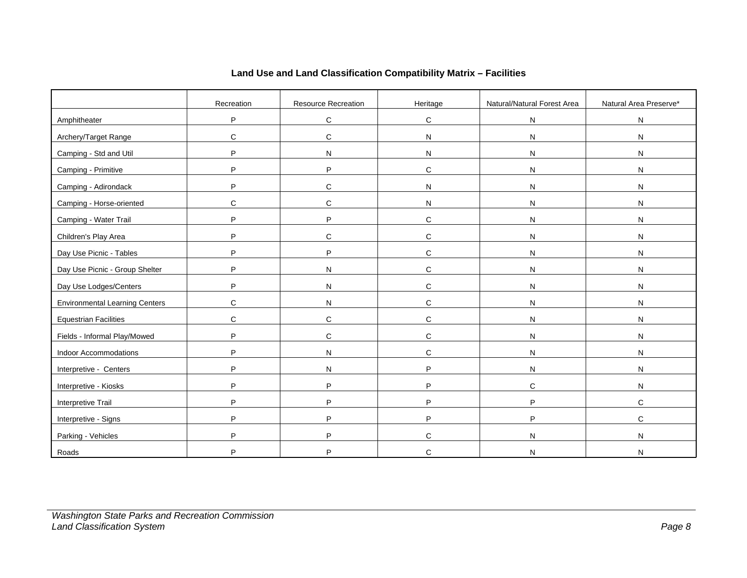|                                       | Recreation | Resource Recreation | Heritage     | Natural/Natural Forest Area | Natural Area Preserve* |
|---------------------------------------|------------|---------------------|--------------|-----------------------------|------------------------|
| Amphitheater                          | P          | $\mathsf C$         | $\mathbf C$  | N                           | N                      |
| Archery/Target Range                  | C          | $\mathsf C$         | N            | N                           | N                      |
| Camping - Std and Util                | P          | N                   | N            | N                           | N                      |
| Camping - Primitive                   | P          | P                   | $\mathbf C$  | N                           | N                      |
| Camping - Adirondack                  | P          | С                   | N            | N                           | N                      |
| Camping - Horse-oriented              | C          | $\mathsf C$         | N            | $\mathsf{N}$                | N                      |
| Camping - Water Trail                 | P          | P                   | $\mathbf C$  | N                           | N                      |
| Children's Play Area                  | P          | $\mathsf C$         | $\mathbf C$  | N                           | N                      |
| Day Use Picnic - Tables               | P          | P                   | $\mathbf C$  | N                           | N                      |
| Day Use Picnic - Group Shelter        | P          | N                   | $\mathbf C$  | N                           | N                      |
| Day Use Lodges/Centers                | P          | N                   | $\mathbf C$  | N                           | N                      |
| <b>Environmental Learning Centers</b> | C          | N                   | $\mathsf{C}$ | N                           | N                      |
| <b>Equestrian Facilities</b>          | C          | $\mathsf C$         | $\mathbf C$  | N                           | ${\sf N}$              |
| Fields - Informal Play/Mowed          | P          | $\mathsf C$         | С            | N                           | N                      |
| Indoor Accommodations                 | P          | N                   | $\mathbf C$  | N                           | N                      |
| Interpretive - Centers                | P          | ${\sf N}$           | P            | ${\sf N}$                   | ${\sf N}$              |
| Interpretive - Kiosks                 | P          | P                   | P            | C                           | N                      |
| Interpretive Trail                    | P          | P                   | P            | P                           | $\mathbf C$            |
| Interpretive - Signs                  | P          | P                   | P            | P                           | $\mathbf C$            |
| Parking - Vehicles                    | P          | P                   | C            | N                           | N                      |
| Roads                                 | P          | P                   | C            | N                           | N                      |

# **Land Use and Land Classification Compatibility Matrix – Facilities**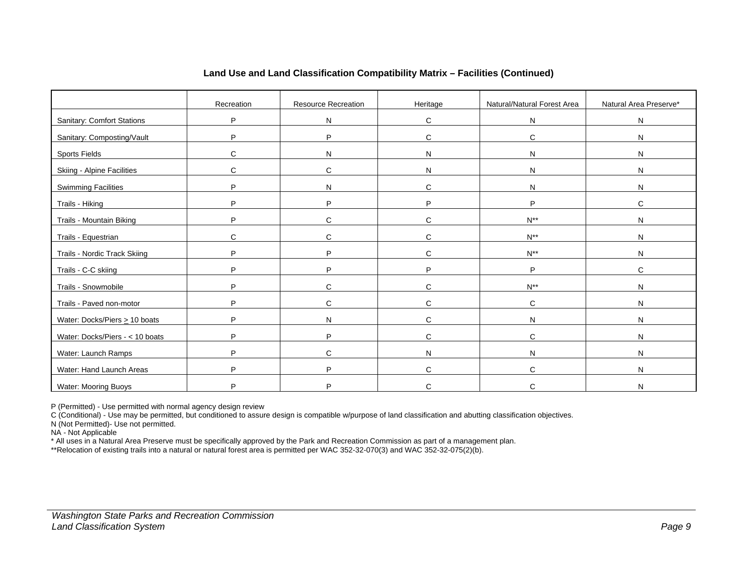|                                     | Recreation | <b>Resource Recreation</b> | Heritage     | Natural/Natural Forest Area | Natural Area Preserve* |
|-------------------------------------|------------|----------------------------|--------------|-----------------------------|------------------------|
| <b>Sanitary: Comfort Stations</b>   | P          | $\mathsf{N}$               | C            | N                           | N                      |
| Sanitary: Composting/Vault          | P          | P                          | C            | C                           | N                      |
| <b>Sports Fields</b>                | C          | N                          | N            | N                           | N                      |
| Skiing - Alpine Facilities          | C          | C                          | N            | N                           | ${\sf N}$              |
| <b>Swimming Facilities</b>          | P          | N                          | C            | N                           | N                      |
| Trails - Hiking                     | P          | P                          | P            | P                           | $\mathbf C$            |
| Trails - Mountain Biking            | P          | C                          | $\mathsf{C}$ | $N^{**}$                    | ${\sf N}$              |
| Trails - Equestrian                 | C          | C                          | C            | $N^{**}$                    | $\mathsf{N}$           |
| <b>Trails - Nordic Track Skiing</b> | P          | $\sf P$                    | C            | $N^{**}$                    | N                      |
| Trails - C-C skiing                 | P          | P                          | P            | P                           | $\mathbf C$            |
| Trails - Snowmobile                 | P          | $\mathbf C$                | $\mathsf{C}$ | $N^{**}$                    | N                      |
| Trails - Paved non-motor            | P          | $\mathbf C$                | C            | C                           | N                      |
| Water: Docks/Piers $\geq 10$ boats  | P          | N                          | $\mathsf{C}$ | N                           | N                      |
| Water: Docks/Piers - < 10 boats     | P          | P                          | $\mathsf{C}$ | C                           | N                      |
| Water: Launch Ramps                 | P          | C                          | N            | N                           | N                      |
| Water: Hand Launch Areas            | P          | P                          | C            | C                           | N                      |
| <b>Water: Mooring Buoys</b>         | P          | P                          | C            | C                           | N                      |

### **Land Use and Land Classification Compatibility Matrix – Facilities (Continued)**

P (Permitted) - Use permitted with normal agency design review

C (Conditional) - Use may be permitted, but conditioned to assure design is compatible w/purpose of land classification and abutting classification objectives.

N (Not Permitted)- Use not permitted.

NA - Not Applicable

\* All uses in a Natural Area Preserve must be specifically approved by the Park and Recreation Commission as part of a management plan.

\*\*Relocation of existing trails into a natural or natural forest area is permitted per WAC 352-32-070(3) and WAC 352-32-075(2)(b).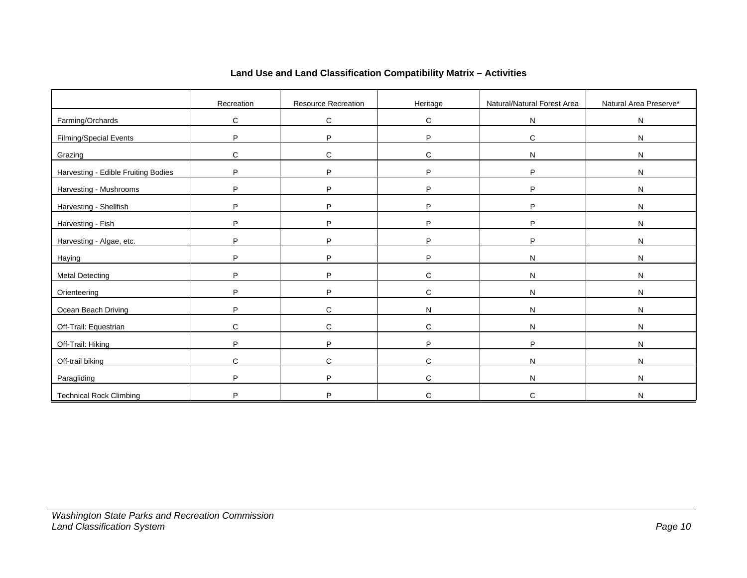|                                     | Recreation | Resource Recreation | Heritage     | Natural/Natural Forest Area | Natural Area Preserve* |
|-------------------------------------|------------|---------------------|--------------|-----------------------------|------------------------|
| Farming/Orchards                    | C          | ${\bf C}$           | C            | ${\sf N}$                   | ${\sf N}$              |
| <b>Filming/Special Events</b>       | P          | P                   | P            | C                           | ${\sf N}$              |
| Grazing                             | C          | $\mathbf C$         | $\mathbf C$  | ${\sf N}$                   | ${\sf N}$              |
| Harvesting - Edible Fruiting Bodies | P          | P                   | P            | P                           | N                      |
| Harvesting - Mushrooms              | P          | P                   | P            | P                           | ${\sf N}$              |
| Harvesting - Shellfish              | P          | P                   | P            | P                           | ${\sf N}$              |
| Harvesting - Fish                   | P          | P                   | P            | P                           | ${\sf N}$              |
| Harvesting - Algae, etc.            | P          | P                   | P            | P                           | ${\sf N}$              |
| <b>Haying</b>                       | P          | P                   | P            | ${\sf N}$                   | ${\sf N}$              |
| <b>Metal Detecting</b>              | P          | P                   | C            | N                           | N                      |
| Orienteering                        | P          | P                   | C            | $\mathsf{N}$                | ${\sf N}$              |
| Ocean Beach Driving                 | P          | $\mathbf C$         | $\mathsf{N}$ | $\mathsf{N}$                | ${\sf N}$              |
| Off-Trail: Equestrian               | C          | $\mathbf C$         | C            | $\mathsf{N}$                | $\mathsf{N}$           |
| Off-Trail: Hiking                   | P          | P                   | P            | P                           | $\mathsf{N}$           |
| Off-trail biking                    | C          | $\mathbf C$         | $\mathsf{C}$ | $\mathsf{N}$                | ${\sf N}$              |
| Paragliding                         | P          | P                   | $\mathsf{C}$ | N                           | N                      |
| <b>Technical Rock Climbing</b>      | D          | P                   | C            | C                           | N                      |

# **Land Use and Land Classification Compatibility Matrix – Activities**